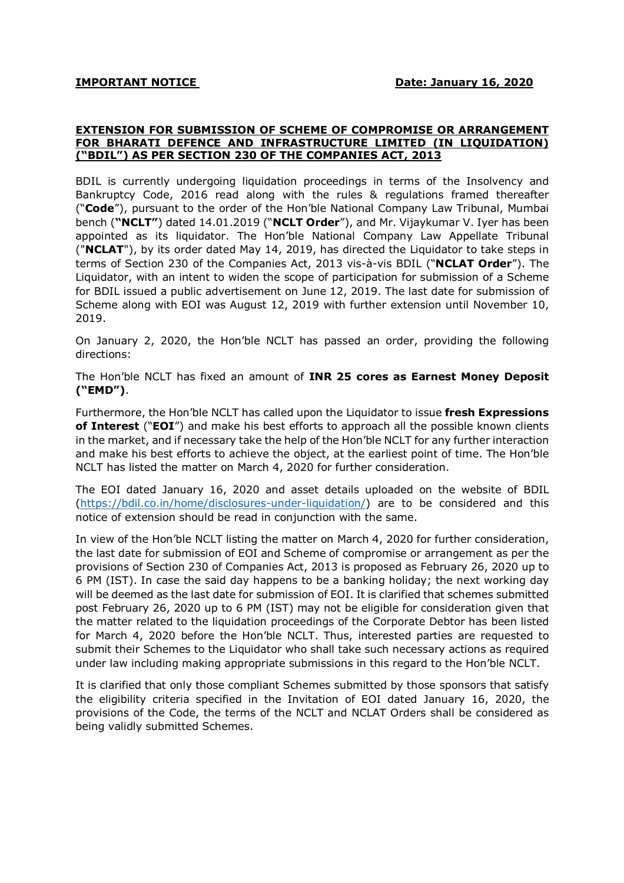## EXTENSION FOR SUBMISSION OF SCHEME OF COMPROMISE OR ARRANGEMENT FOR BHARATI DEFENCE AND INFRASTRUCTURE LIMITED (IN LIQUIDATION) ("BDIL") AS PER SECTION 230 OF THE COMPANIES ACT, 2013

BDIL is currently undergoing liquidation proceedings in terms of the Insolvency and Bankruptcy Code, 2016 read along with the rules & regulations framed thereafter ("Code"), pursuant to the order of the Hon'ble National Company Law Tribunal, Mumbai bench ("NCLT") dated 14.01.2019 ("NCLT Order"), and Mr. Vijaykumar V. Iyer has been appointed as its liquidator. The Hon'ble National Company Law Appellate Tribunal ("NCLAT"), by its order dated May 14, 2019, has directed the Liquidator to take steps in terms of Section 230 of the Companies Act, 2013 vis-à-vis BDIL ("NCLAT Order"). The Liquidator, with an intent to widen the scope of participation for submission of a Scheme for BDIL issued a public advertisement on June 12, 2019. The last date for submission of Scheme along with EOI was August 12, 2019 with further extension until November 10, 2019.

On January 2, 2020, the Hon'ble NCLT has passed an order, providing the following directions:

The Hon'ble NCLT has fixed an amount of INR 25 cores as Earnest Money Deposit ("EMD").

Furthermore, the Hon'ble NCLT has called upon the Liquidator to issue fresh Expressions of Interest ("EOI") and make his best efforts to approach all the possible known clients in the market, and if necessary take the help of the Hon'ble NCLT for any further interaction and make his best efforts to achieve the object, at the earliest point of time. The Hon'ble NCLT has listed the matter on March 4, 2020 for further consideration.

The EOI dated January 16, 2020 and asset details uploaded on the website of BDIL (https://bdil.co.in/home/disclosures-under-liquidation/) are to be considered and this notice of extension should be read in conjunction with the same.

In view of the Hon'ble NCLT listing the matter on March 4, 2020 for further consideration, the last date for submission of EOI and Scheme of compromise or arrangement as per the provisions of Section 230 of Companies Act, 2013 is proposed as February 26, 2020 up to 6 PM (IST). In case the said day happens to be a banking holiday; the next working day will be deemed as the last date for submission of EOI. It is clarified that schemes submitted post February 26, 2020 up to 6 PM (IST) may not be eligible for consideration given that the matter related to the liquidation proceedings of the Corporate Debtor has been listed for March 4, 2020 before the Hon'ble NCLT. Thus, interested parties are requested to submit their Schemes to the Liquidator who shall take such necessary actions as required under law including making appropriate submissions in this regard to the Hon'ble NCLT.

It is clarified that only those compliant Schemes submitted by those sponsors that satisfy the eligibility criteria specified in the Invitation of EOI dated January 16, 2020, the provisions of the Code, the terms of the NCLT and NCLAT Orders shall be considered as being validly submitted Schemes.